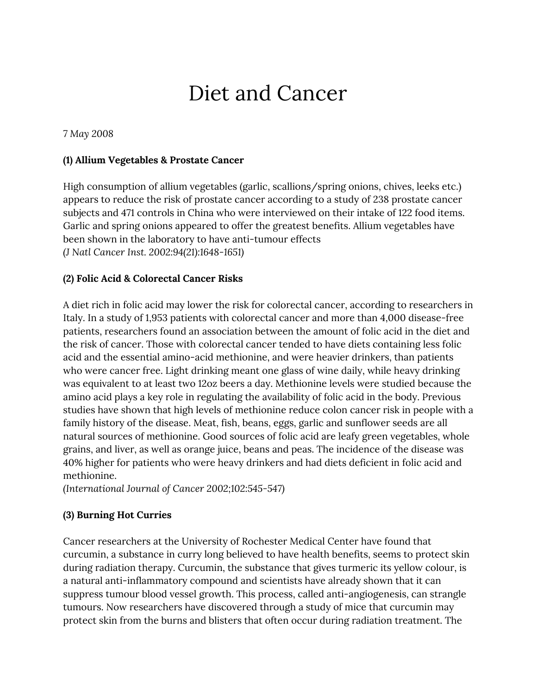# Diet and Cancer

*7 May 2008*

#### **(1) Allium Vegetables & Prostate Cancer**

High consumption of allium vegetables (garlic, scallions/spring onions, chives, leeks etc.) appears to reduce the risk of prostate cancer according to a study of 238 prostate cancer subjects and 471 controls in China who were interviewed on their intake of 122 food items. Garlic and spring onions appeared to offer the greatest benefits. Allium vegetables have been shown in the laboratory to have anti-tumour effects *(J Natl Cancer Inst. 2002:94(21):1648-1651)*

#### **(2) Folic Acid & Colorectal Cancer Risks**

A diet rich in folic acid may lower the risk for colorectal cancer, according to researchers in Italy. In a study of 1,953 patients with colorectal cancer and more than 4,000 disease-free patients, researchers found an association between the amount of folic acid in the diet and the risk of cancer. Those with colorectal cancer tended to have diets containing less folic acid and the essential amino-acid methionine, and were heavier drinkers, than patients who were cancer free. Light drinking meant one glass of wine daily, while heavy drinking was equivalent to at least two 12oz beers a day. Methionine levels were studied because the amino acid plays a key role in regulating the availability of folic acid in the body. Previous studies have shown that high levels of methionine reduce colon cancer risk in people with a family history of the disease. Meat, fish, beans, eggs, garlic and sunflower seeds are all natural sources of methionine. Good sources of folic acid are leafy green vegetables, whole grains, and liver, as well as orange juice, beans and peas. The incidence of the disease was 40% higher for patients who were heavy drinkers and had diets deficient in folic acid and methionine.

*(International Journal of Cancer 2002;102:545-547)*

#### **(3) Burning Hot Curries**

Cancer researchers at the University of Rochester Medical Center have found that curcumin, a substance in curry long believed to have health benefits, seems to protect skin during radiation therapy. Curcumin, the substance that gives turmeric its yellow colour, is a natural anti-inflammatory compound and scientists have already shown that it can suppress tumour blood vessel growth. This process, called anti-angiogenesis, can strangle tumours. Now researchers have discovered through a study of mice that curcumin may protect skin from the burns and blisters that often occur during radiation treatment. The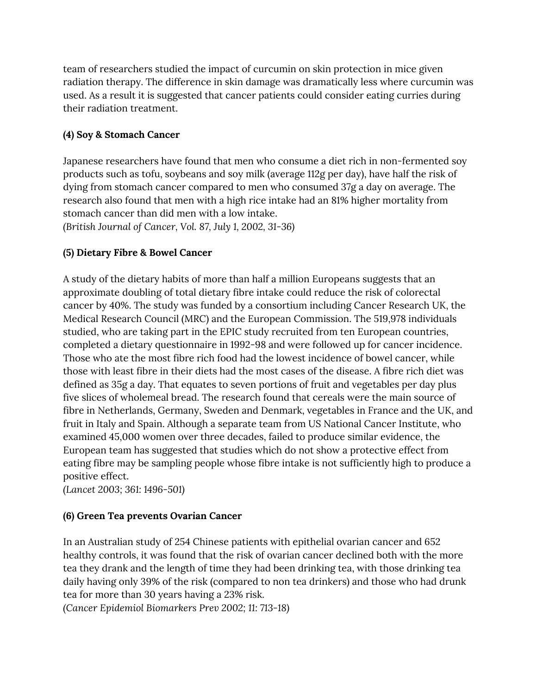team of researchers studied the impact of curcumin on skin protection in mice given radiation therapy. The difference in skin damage was dramatically less where curcumin was used. As a result it is suggested that cancer patients could consider eating curries during their radiation treatment.

## **(4) Soy & Stomach Cancer**

Japanese researchers have found that men who consume a diet rich in non-fermented soy products such as tofu, soybeans and soy milk (average 112g per day), have half the risk of dying from stomach cancer compared to men who consumed 37g a day on average. The research also found that men with a high rice intake had an 81% higher mortality from stomach cancer than did men with a low intake. *(British Journal of Cancer, Vol. 87, July 1, 2002, 31-36)*

# **(5) Dietary Fibre & Bowel Cancer**

A study of the dietary habits of more than half a million Europeans suggests that an approximate doubling of total dietary fibre intake could reduce the risk of colorectal cancer by 40%. The study was funded by a consortium including Cancer Research UK, the Medical Research Council (MRC) and the European Commission. The 519,978 individuals studied, who are taking part in the EPIC study recruited from ten European countries, completed a dietary questionnaire in 1992-98 and were followed up for cancer incidence. Those who ate the most fibre rich food had the lowest incidence of bowel cancer, while those with least fibre in their diets had the most cases of the disease. A fibre rich diet was defined as 35g a day. That equates to seven portions of fruit and vegetables per day plus five slices of wholemeal bread. The research found that cereals were the main source of fibre in Netherlands, Germany, Sweden and Denmark, vegetables in France and the UK, and fruit in Italy and Spain. Although a separate team from US National Cancer Institute, who examined 45,000 women over three decades, failed to produce similar evidence, the European team has suggested that studies which do not show a protective effect from eating fibre may be sampling people whose fibre intake is not sufficiently high to produce a positive effect.

*(Lancet 2003; 361: 1496-501)*

## **(6) Green Tea prevents Ovarian Cancer**

In an Australian study of 254 Chinese patients with epithelial ovarian cancer and 652 healthy controls, it was found that the risk of ovarian cancer declined both with the more tea they drank and the length of time they had been drinking tea, with those drinking tea daily having only 39% of the risk (compared to non tea drinkers) and those who had drunk tea for more than 30 years having a 23% risk.

*(Cancer Epidemiol Biomarkers Prev 2002; 11: 713-18)*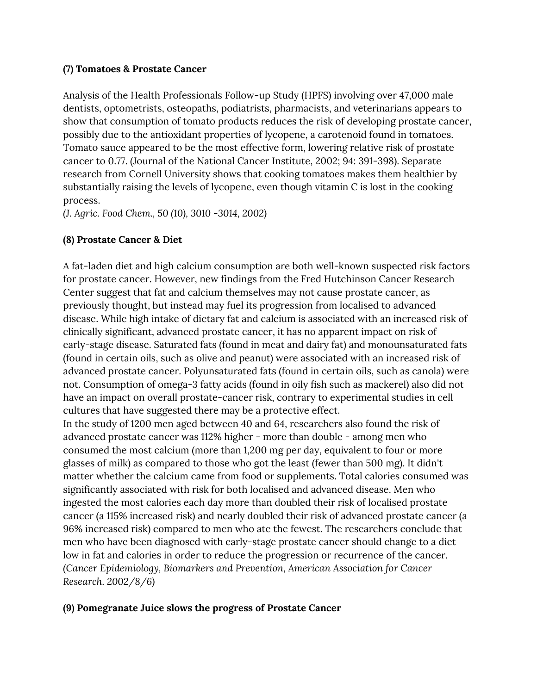#### **(7) Tomatoes & Prostate Cancer**

Analysis of the Health Professionals Follow-up Study (HPFS) involving over 47,000 male dentists, optometrists, osteopaths, podiatrists, pharmacists, and veterinarians appears to show that consumption of tomato products reduces the risk of developing prostate cancer, possibly due to the antioxidant properties of lycopene, a carotenoid found in tomatoes. Tomato sauce appeared to be the most effective form, lowering relative risk of prostate cancer to 0.77. (Journal of the National Cancer Institute, 2002; 94: 391-398). Separate research from Cornell University shows that cooking tomatoes makes them healthier by substantially raising the levels of lycopene, even though vitamin C is lost in the cooking process.

*(J. Agric. Food Chem., 50 (10), 3010 -3014, 2002)*

### **(8) Prostate Cancer & Diet**

A fat-laden diet and high calcium consumption are both well-known suspected risk factors for prostate cancer. However, new findings from the Fred Hutchinson Cancer Research Center suggest that fat and calcium themselves may not cause prostate cancer, as previously thought, but instead may fuel its progression from localised to advanced disease. While high intake of dietary fat and calcium is associated with an increased risk of clinically significant, advanced prostate cancer, it has no apparent impact on risk of early-stage disease. Saturated fats (found in meat and dairy fat) and monounsaturated fats (found in certain oils, such as olive and peanut) were associated with an increased risk of advanced prostate cancer. Polyunsaturated fats (found in certain oils, such as canola) were not. Consumption of omega-3 fatty acids (found in oily fish such as mackerel) also did not have an impact on overall prostate-cancer risk, contrary to experimental studies in cell cultures that have suggested there may be a protective effect.

In the study of 1200 men aged between 40 and 64, researchers also found the risk of advanced prostate cancer was 112% higher - more than double - among men who consumed the most calcium (more than 1,200 mg per day, equivalent to four or more glasses of milk) as compared to those who got the least (fewer than 500 mg). It didn't matter whether the calcium came from food or supplements. Total calories consumed was significantly associated with risk for both localised and advanced disease. Men who ingested the most calories each day more than doubled their risk of localised prostate cancer (a 115% increased risk) and nearly doubled their risk of advanced prostate cancer (a 96% increased risk) compared to men who ate the fewest. The researchers conclude that men who have been diagnosed with early-stage prostate cancer should change to a diet low in fat and calories in order to reduce the progression or recurrence of the cancer. *(Cancer Epidemiology, Biomarkers and Prevention, American Association for Cancer Research. 2002/8/6)*

#### **(9) Pomegranate Juice slows the progress of Prostate Cancer**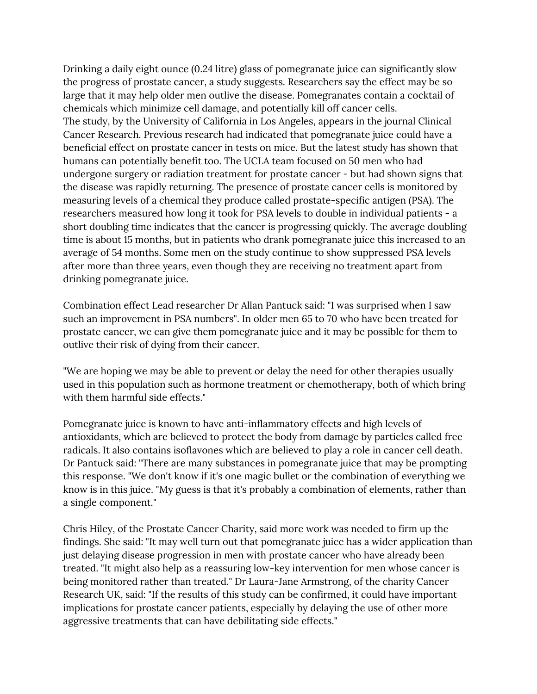Drinking a daily eight ounce (0.24 litre) glass of pomegranate juice can significantly slow the progress of prostate cancer, a study suggests. Researchers say the effect may be so large that it may help older men outlive the disease. Pomegranates contain a cocktail of chemicals which minimize cell damage, and potentially kill off cancer cells. The study, by the University of California in Los Angeles, appears in the journal Clinical Cancer Research. Previous research had indicated that pomegranate juice could have a beneficial effect on prostate cancer in tests on mice. But the latest study has shown that humans can potentially benefit too. The UCLA team focused on 50 men who had undergone surgery or radiation treatment for prostate cancer - but had shown signs that the disease was rapidly returning. The presence of prostate cancer cells is monitored by measuring levels of a chemical they produce called prostate-specific antigen (PSA). The researchers measured how long it took for PSA levels to double in individual patients - a short doubling time indicates that the cancer is progressing quickly. The average doubling time is about 15 months, but in patients who drank pomegranate juice this increased to an average of 54 months. Some men on the study continue to show suppressed PSA levels after more than three years, even though they are receiving no treatment apart from drinking pomegranate juice.

Combination effect Lead researcher Dr Allan Pantuck said: "I was surprised when I saw such an improvement in PSA numbers". In older men 65 to 70 who have been treated for prostate cancer, we can give them pomegranate juice and it may be possible for them to outlive their risk of dying from their cancer.

"We are hoping we may be able to prevent or delay the need for other therapies usually used in this population such as hormone treatment or chemotherapy, both of which bring with them harmful side effects."

Pomegranate juice is known to have anti-inflammatory effects and high levels of antioxidants, which are believed to protect the body from damage by particles called free radicals. It also contains isoflavones which are believed to play a role in cancer cell death. Dr Pantuck said: "There are many substances in pomegranate juice that may be prompting this response. "We don't know if it's one magic bullet or the combination of everything we know is in this juice. "My guess is that it's probably a combination of elements, rather than a single component."

Chris Hiley, of the Prostate Cancer Charity, said more work was needed to firm up the findings. She said: "It may well turn out that pomegranate juice has a wider application than just delaying disease progression in men with prostate cancer who have already been treated. "It might also help as a reassuring low-key intervention for men whose cancer is being monitored rather than treated." Dr Laura-Jane Armstrong, of the charity Cancer Research UK, said: "If the results of this study can be confirmed, it could have important implications for prostate cancer patients, especially by delaying the use of other more aggressive treatments that can have debilitating side effects."